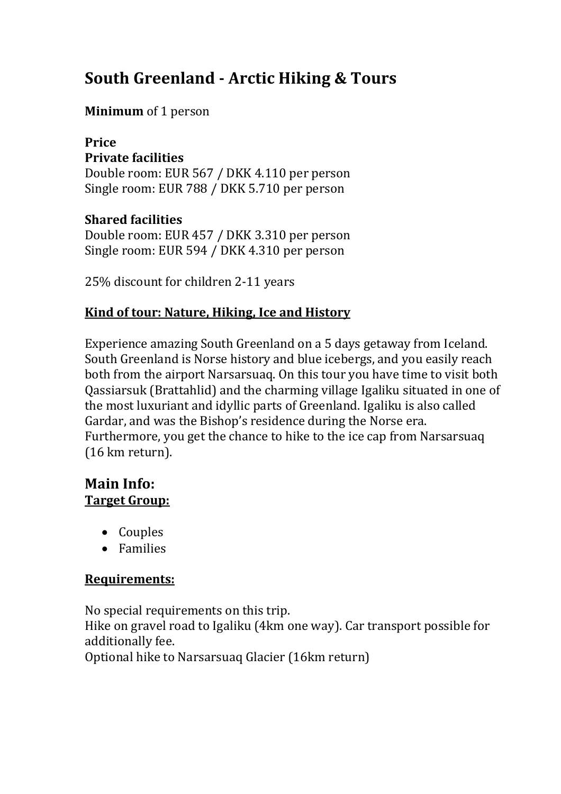# **South Greenland - Arctic Hiking & Tours**

#### **Minimum** of 1 person

#### **Price Private facilities**

Double room: EUR 567 / DKK 4.110 per person Single room: EUR 788 / DKK 5.710 per person

#### **Shared facilities**

Double room: EUR 457 / DKK 3.310 per person Single room: EUR 594 / DKK 4.310 per person

25% discount for children 2-11 years

#### **Kind of tour: Nature, Hiking, Ice and History**

Experience amazing South Greenland on a 5 days getaway from Iceland. South Greenland is Norse history and blue icebergs, and you easily reach both from the airport Narsarsuaq. On this tour you have time to visit both Qassiarsuk (Brattahlid) and the charming village Igaliku situated in one of the most luxuriant and idyllic parts of Greenland. Igaliku is also called Gardar, and was the Bishop's residence during the Norse era. Furthermore, you get the chance to hike to the ice cap from Narsarsuaq (16 km return).

#### **Main Info: Target Group:**

- Couples
- Families

#### **Requirements:**

No special requirements on this trip. Hike on gravel road to Igaliku (4km one way). Car transport possible for additionally fee. Optional hike to Narsarsuaq Glacier (16km return)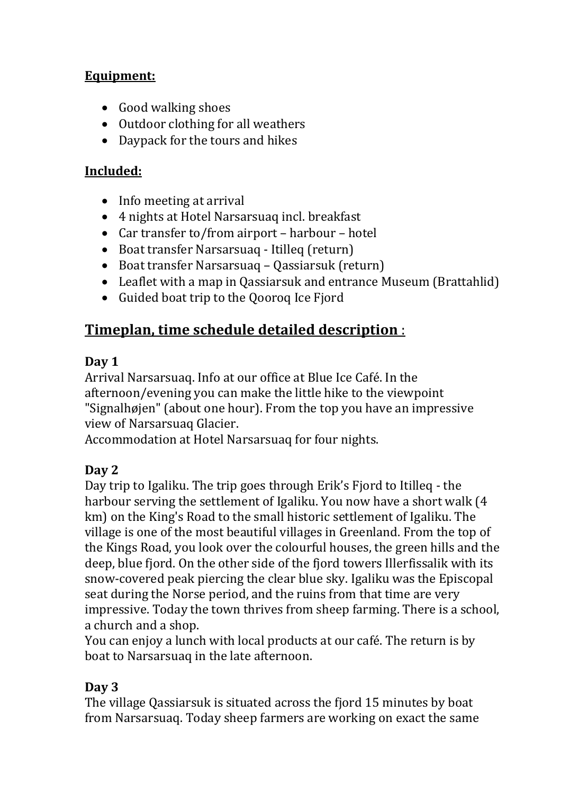# **Equipment:**

- Good walking shoes
- Outdoor clothing for all weathers
- Daypack for the tours and hikes

#### **Included:**

- Info meeting at arrival
- 4 nights at Hotel Narsarsuaq incl. breakfast
- Car transfer to/from airport harbour hotel
- Boat transfer Narsarsuaq Itilleq (return)
- Boat transfer Narsarsuaq Qassiarsuk (return)
- Leaflet with a map in Qassiarsuk and entrance Museum (Brattahlid)
- Guided boat trip to the Qooroq Ice Fjord

# **Timeplan, time schedule detailed description** :

# **Day 1**

Arrival Narsarsuaq. Info at our office at Blue Ice Café. In the afternoon/evening you can make the little hike to the viewpoint "Signalhøjen" (about one hour). From the top you have an impressive view of Narsarsuaq Glacier.

Accommodation at Hotel Narsarsuaq for four nights.

# **Day 2**

Day trip to Igaliku. The trip goes through Erik's Fjord to Itilleq - the harbour serving the settlement of Igaliku. You now have a short walk (4 km) on the King's Road to the small historic settlement of Igaliku. The village is one of the most beautiful villages in Greenland. From the top of the Kings Road, you look over the colourful houses, the green hills and the deep, blue fjord. On the other side of the fjord towers Illerfissalik with its snow-covered peak piercing the clear blue sky. Igaliku was the Episcopal seat during the Norse period, and the ruins from that time are very impressive. Today the town thrives from sheep farming. There is a school, a church and a shop.

You can enjoy a lunch with local products at our café. The return is by boat to Narsarsuaq in the late afternoon.

# **Day 3**

The village Qassiarsuk is situated across the fjord 15 minutes by boat from Narsarsuaq. Today sheep farmers are working on exact the same